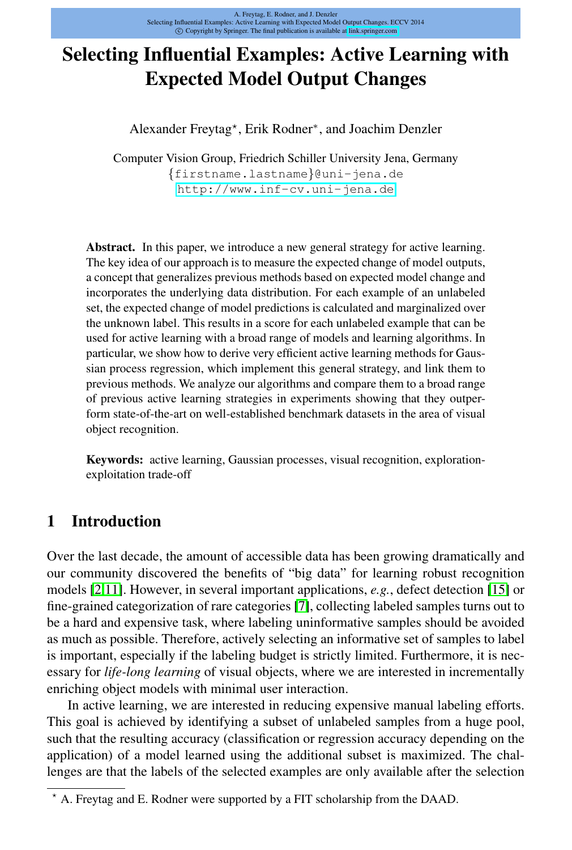# Selecting Influential Examples: Active Learning with Expected Model Output Changes

Alexander Freytag\*, Erik Rodner\*, and Joachim Denzler

Computer Vision Group, Friedrich Schiller University Jena, Germany {firstname.lastname}@uni-jena.de <http://www.inf-cv.uni-jena.de>

Abstract. In this paper, we introduce a new general strategy for active learning. The key idea of our approach is to measure the expected change of model outputs, a concept that generalizes previous methods based on expected model change and incorporates the underlying data distribution. For each example of an unlabeled set, the expected change of model predictions is calculated and marginalized over the unknown label. This results in a score for each unlabeled example that can be used for active learning with a broad range of models and learning algorithms. In particular, we show how to derive very efficient active learning methods for Gaussian process regression, which implement this general strategy, and link them to previous methods. We analyze our algorithms and compare them to a broad range of previous active learning strategies in experiments showing that they outperform state-of-the-art on well-established benchmark datasets in the area of visual object recognition.

Keywords: active learning, Gaussian processes, visual recognition, explorationexploitation trade-off

# 1 Introduction

Over the last decade, the amount of accessible data has been growing dramatically and our community discovered the benefits of "big data" for learning robust recognition models [\[2](#page-14-0)[,11\]](#page-14-1). However, in several important applications, *e.g.*, defect detection [\[15\]](#page-14-2) or fine-grained categorization of rare categories [\[7\]](#page-14-3), collecting labeled samples turns out to be a hard and expensive task, where labeling uninformative samples should be avoided as much as possible. Therefore, actively selecting an informative set of samples to label is important, especially if the labeling budget is strictly limited. Furthermore, it is necessary for *life-long learning* of visual objects, where we are interested in incrementally enriching object models with minimal user interaction.

In active learning, we are interested in reducing expensive manual labeling efforts. This goal is achieved by identifying a subset of unlabeled samples from a huge pool, such that the resulting accuracy (classification or regression accuracy depending on the application) of a model learned using the additional subset is maximized. The challenges are that the labels of the selected examples are only available after the selection

<sup>?</sup> A. Freytag and E. Rodner were supported by a FIT scholarship from the DAAD.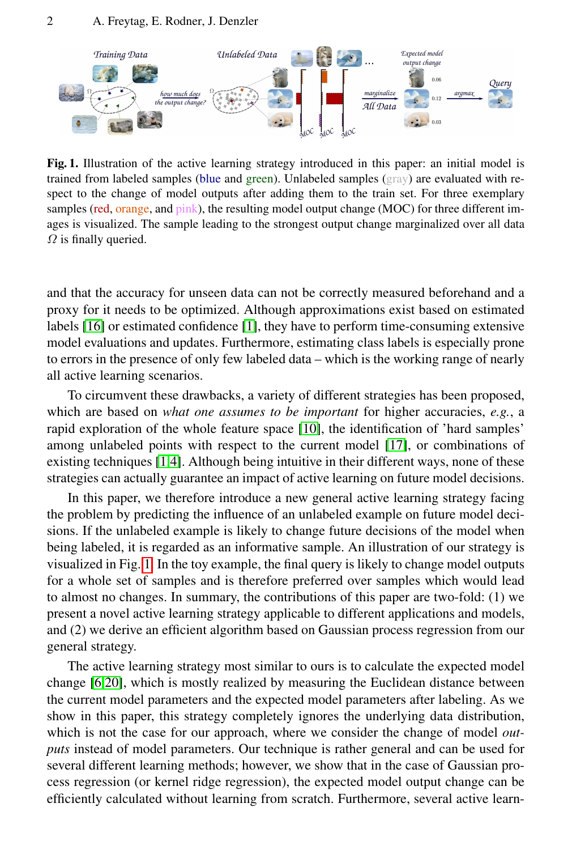

<span id="page-1-0"></span>Fig. 1. Illustration of the active learning strategy introduced in this paper: an initial model is trained from labeled samples (blue and green). Unlabeled samples (gray) are evaluated with respect to the change of model outputs after adding them to the train set. For three exemplary samples (red, orange, and  $\text{pink}$ ), the resulting model output change (MOC) for three different images is visualized. The sample leading to the strongest output change marginalized over all data  $\Omega$  is finally queried.

and that the accuracy for unseen data can not be correctly measured beforehand and a proxy for it needs to be optimized. Although approximations exist based on estimated labels [\[16\]](#page-14-4) or estimated confidence [\[1\]](#page-14-5), they have to perform time-consuming extensive model evaluations and updates. Furthermore, estimating class labels is especially prone to errors in the presence of only few labeled data – which is the working range of nearly all active learning scenarios.

To circumvent these drawbacks, a variety of different strategies has been proposed, which are based on *what one assumes to be important* for higher accuracies, *e.g.*, a rapid exploration of the whole feature space [\[10\]](#page-14-6), the identification of 'hard samples' among unlabeled points with respect to the current model [\[17\]](#page-14-7), or combinations of existing techniques [\[1](#page-14-5)[,4\]](#page-14-8). Although being intuitive in their different ways, none of these strategies can actually guarantee an impact of active learning on future model decisions.

In this paper, we therefore introduce a new general active learning strategy facing the problem by predicting the influence of an unlabeled example on future model decisions. If the unlabeled example is likely to change future decisions of the model when being labeled, it is regarded as an informative sample. An illustration of our strategy is visualized in Fig. [1.](#page-1-0) In the toy example, the final query is likely to change model outputs for a whole set of samples and is therefore preferred over samples which would lead to almost no changes. In summary, the contributions of this paper are two-fold: (1) we present a novel active learning strategy applicable to different applications and models, and (2) we derive an efficient algorithm based on Gaussian process regression from our general strategy.

The active learning strategy most similar to ours is to calculate the expected model change [\[6](#page-14-9)[,20\]](#page-15-0), which is mostly realized by measuring the Euclidean distance between the current model parameters and the expected model parameters after labeling. As we show in this paper, this strategy completely ignores the underlying data distribution, which is not the case for our approach, where we consider the change of model *outputs* instead of model parameters. Our technique is rather general and can be used for several different learning methods; however, we show that in the case of Gaussian process regression (or kernel ridge regression), the expected model output change can be efficiently calculated without learning from scratch. Furthermore, several active learn-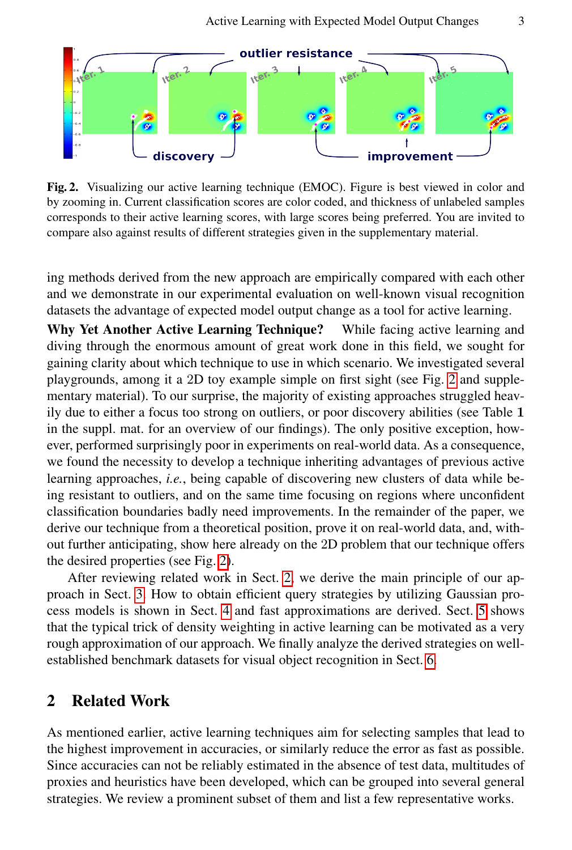

<span id="page-2-0"></span>Fig. 2. Visualizing our active learning technique (EMOC). Figure is best viewed in color and by zooming in. Current classification scores are color coded, and thickness of unlabeled samples corresponds to their active learning scores, with large scores being preferred. You are invited to compare also against results of different strategies given in the supplementary material.

ing methods derived from the new approach are empirically compared with each other and we demonstrate in our experimental evaluation on well-known visual recognition datasets the advantage of expected model output change as a tool for active learning.

Why Yet Another Active Learning Technique? While facing active learning and diving through the enormous amount of great work done in this field, we sought for gaining clarity about which technique to use in which scenario. We investigated several playgrounds, among it a 2D toy example simple on first sight (see Fig. [2](#page-2-0) and supplementary material). To our surprise, the majority of existing approaches struggled heavily due to either a focus too strong on outliers, or poor discovery abilities (see Table 1 in the suppl. mat. for an overview of our findings). The only positive exception, however, performed surprisingly poor in experiments on real-world data. As a consequence, we found the necessity to develop a technique inheriting advantages of previous active learning approaches, *i.e.*, being capable of discovering new clusters of data while being resistant to outliers, and on the same time focusing on regions where unconfident classification boundaries badly need improvements. In the remainder of the paper, we derive our technique from a theoretical position, prove it on real-world data, and, without further anticipating, show here already on the 2D problem that our technique offers the desired properties (see Fig. [2\)](#page-2-0).

After reviewing related work in Sect. [2,](#page-2-1) we derive the main principle of our approach in Sect. [3.](#page-4-0) How to obtain efficient query strategies by utilizing Gaussian process models is shown in Sect. [4](#page-6-0) and fast approximations are derived. Sect. [5](#page-8-0) shows that the typical trick of density weighting in active learning can be motivated as a very rough approximation of our approach. We finally analyze the derived strategies on wellestablished benchmark datasets for visual object recognition in Sect. [6.](#page-9-0)

#### <span id="page-2-1"></span>2 Related Work

As mentioned earlier, active learning techniques aim for selecting samples that lead to the highest improvement in accuracies, or similarly reduce the error as fast as possible. Since accuracies can not be reliably estimated in the absence of test data, multitudes of proxies and heuristics have been developed, which can be grouped into several general strategies. We review a prominent subset of them and list a few representative works.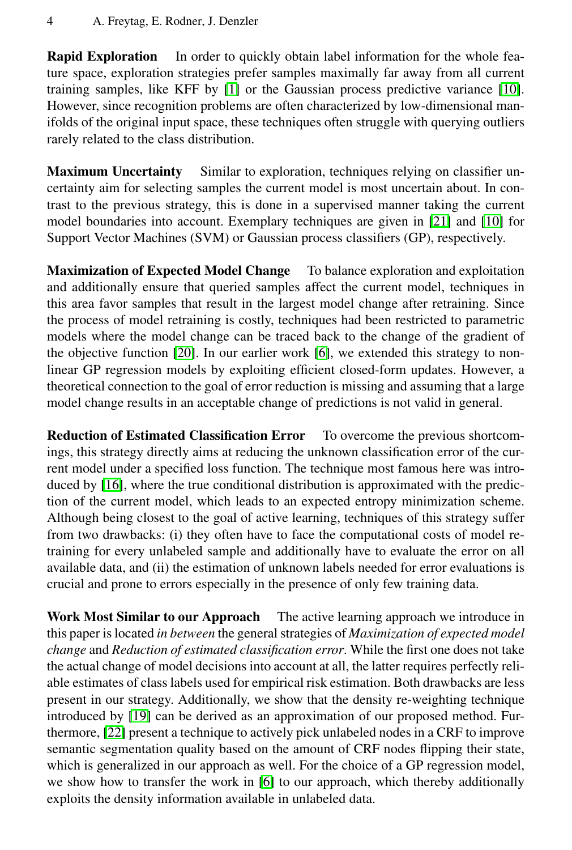**Rapid Exploration** In order to quickly obtain label information for the whole feature space, exploration strategies prefer samples maximally far away from all current training samples, like KFF by [\[1\]](#page-14-5) or the Gaussian process predictive variance [\[10\]](#page-14-6). However, since recognition problems are often characterized by low-dimensional manifolds of the original input space, these techniques often struggle with querying outliers rarely related to the class distribution.

Maximum Uncertainty Similar to exploration, techniques relying on classifier uncertainty aim for selecting samples the current model is most uncertain about. In contrast to the previous strategy, this is done in a supervised manner taking the current model boundaries into account. Exemplary techniques are given in [\[21\]](#page-15-1) and [\[10\]](#page-14-6) for Support Vector Machines (SVM) or Gaussian process classifiers (GP), respectively.

Maximization of Expected Model Change To balance exploration and exploitation and additionally ensure that queried samples affect the current model, techniques in this area favor samples that result in the largest model change after retraining. Since the process of model retraining is costly, techniques had been restricted to parametric models where the model change can be traced back to the change of the gradient of the objective function [\[20\]](#page-15-0). In our earlier work [\[6\]](#page-14-9), we extended this strategy to nonlinear GP regression models by exploiting efficient closed-form updates. However, a theoretical connection to the goal of error reduction is missing and assuming that a large model change results in an acceptable change of predictions is not valid in general.

Reduction of Estimated Classification Error To overcome the previous shortcomings, this strategy directly aims at reducing the unknown classification error of the current model under a specified loss function. The technique most famous here was introduced by [\[16\]](#page-14-4), where the true conditional distribution is approximated with the prediction of the current model, which leads to an expected entropy minimization scheme. Although being closest to the goal of active learning, techniques of this strategy suffer from two drawbacks: (i) they often have to face the computational costs of model retraining for every unlabeled sample and additionally have to evaluate the error on all available data, and (ii) the estimation of unknown labels needed for error evaluations is crucial and prone to errors especially in the presence of only few training data.

Work Most Similar to our Approach The active learning approach we introduce in this paper is located *in between* the general strategies of *Maximization of expected model change* and *Reduction of estimated classification error*. While the first one does not take the actual change of model decisions into account at all, the latter requires perfectly reliable estimates of class labels used for empirical risk estimation. Both drawbacks are less present in our strategy. Additionally, we show that the density re-weighting technique introduced by [\[19\]](#page-15-2) can be derived as an approximation of our proposed method. Furthermore, [\[22\]](#page-15-3) present a technique to actively pick unlabeled nodes in a CRF to improve semantic segmentation quality based on the amount of CRF nodes flipping their state, which is generalized in our approach as well. For the choice of a GP regression model, we show how to transfer the work in [\[6\]](#page-14-9) to our approach, which thereby additionally exploits the density information available in unlabeled data.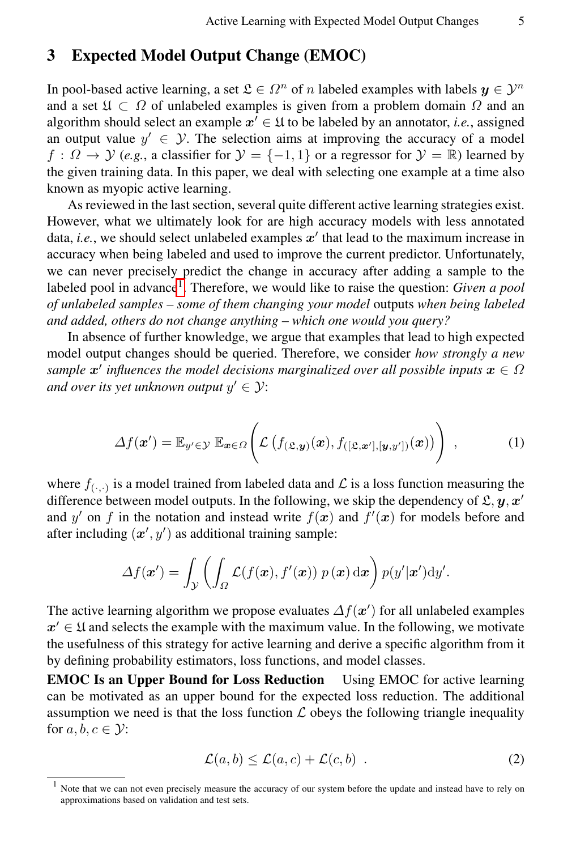## <span id="page-4-0"></span>3 Expected Model Output Change (EMOC)

In pool-based active learning, a set  $\mathcal{L} \in \Omega^n$  of n labeled examples with labels  $y \in \mathcal{Y}^n$ and a set  $\mathfrak{U} \subset \Omega$  of unlabeled examples is given from a problem domain  $\Omega$  and an algorithm should select an example  $x' \in \mathfrak{U}$  to be labeled by an annotator, *i.e.*, assigned an output value  $y' \in \mathcal{Y}$ . The selection aims at improving the accuracy of a model  $f: \Omega \to \mathcal{Y}$  (*e.g.*, a classifier for  $\mathcal{Y} = \{-1, 1\}$  or a regressor for  $\mathcal{Y} = \mathbb{R}$ ) learned by the given training data. In this paper, we deal with selecting one example at a time also known as myopic active learning.

As reviewed in the last section, several quite different active learning strategies exist. However, what we ultimately look for are high accuracy models with less annotated data, *i.e.*, we should select unlabeled examples  $x'$  that lead to the maximum increase in accuracy when being labeled and used to improve the current predictor. Unfortunately, we can never precisely predict the change in accuracy after adding a sample to the labeled pool in advance<sup>[1](#page-4-1)</sup>. Therefore, we would like to raise the question: *Given a pool of unlabeled samples – some of them changing your model* outputs *when being labeled and added, others do not change anything – which one would you query?*

In absence of further knowledge, we argue that examples that lead to high expected model output changes should be queried. Therefore, we consider *how strongly a new sample*  $x'$  influences the model decisions marginalized over all possible inputs  $x ∈ Ω$ and over its yet unknown output  $y' \in \mathcal{Y}$ :

<span id="page-4-2"></span>
$$
\Delta f(\boldsymbol{x}') = \mathbb{E}_{\boldsymbol{y}' \in \mathcal{Y}} \mathbb{E}_{\boldsymbol{x} \in \Omega} \bigg( \mathcal{L} \left( f_{(\mathfrak{L}, \boldsymbol{y})}(\boldsymbol{x}), f_{([\mathfrak{L}, \boldsymbol{x}'], [\boldsymbol{y}, \boldsymbol{y}'])}(\boldsymbol{x}) \right) \bigg) , \qquad (1)
$$

where  $f_{(\cdot,\cdot)}$  is a model trained from labeled data and  $\mathcal L$  is a loss function measuring the difference between model outputs. In the following, we skip the dependency of  $\mathfrak{L}, y, x'$ and y' on f in the notation and instead write  $f(x)$  and  $f'(x)$  for models before and after including  $(x', y')$  as additional training sample:

$$
\Delta f(\boldsymbol{x}') = \int_{\mathcal{Y}} \left( \int_{\Omega} \mathcal{L}(f(\boldsymbol{x}), f'(\boldsymbol{x})) \ p(\boldsymbol{x}) \, d\boldsymbol{x} \right) p(y'|\boldsymbol{x}') \, dy'.
$$

The active learning algorithm we propose evaluates  $\Delta f(x')$  for all unlabeled examples  $x' \in \mathfrak{U}$  and selects the example with the maximum value. In the following, we motivate the usefulness of this strategy for active learning and derive a specific algorithm from it by defining probability estimators, loss functions, and model classes.

**EMOC Is an Upper Bound for Loss Reduction** Using EMOC for active learning can be motivated as an upper bound for the expected loss reduction. The additional assumption we need is that the loss function  $\mathcal L$  obeys the following triangle inequality for  $a, b, c \in \mathcal{Y}$ :

$$
\mathcal{L}(a,b) \le \mathcal{L}(a,c) + \mathcal{L}(c,b) \tag{2}
$$

<span id="page-4-1"></span> $<sup>1</sup>$  Note that we can not even precisely measure the accuracy of our system before the update and instead have to rely on</sup> approximations based on validation and test sets.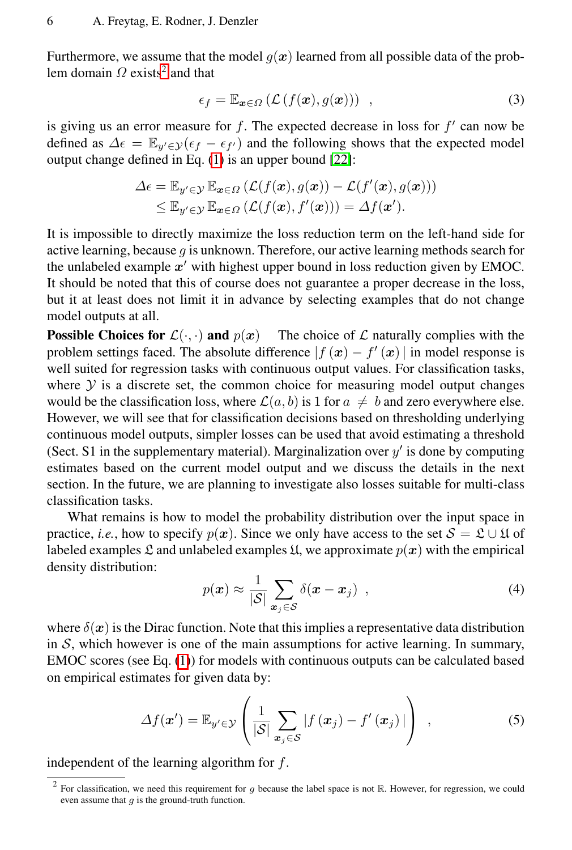Furthermore, we assume that the model  $q(x)$  learned from all possible data of the problem domain  $\Omega$  exists<sup>[2](#page-5-0)</sup> and that

$$
\epsilon_f = \mathbb{E}_{\mathbf{x} \in \Omega} \left( \mathcal{L} \left( f(\mathbf{x}), g(\mathbf{x}) \right) \right) , \tag{3}
$$

is giving us an error measure for  $f$ . The expected decrease in loss for  $f'$  can now be defined as  $\Delta \epsilon = \mathbb{E}_{y' \in \mathcal{Y}} (\epsilon_f - \epsilon_{f'})$  and the following shows that the expected model output change defined in Eq. [\(1\)](#page-4-2) is an upper bound [\[22\]](#page-15-3):

$$
\Delta \epsilon = \mathbb{E}_{y' \in \mathcal{Y}} \mathbb{E}_{\boldsymbol{x} \in \Omega} \left( \mathcal{L}(f(\boldsymbol{x}), g(\boldsymbol{x})) - \mathcal{L}(f'(\boldsymbol{x}), g(\boldsymbol{x})) \right) \leq \mathbb{E}_{y' \in \mathcal{Y}} \mathbb{E}_{\boldsymbol{x} \in \Omega} \left( \mathcal{L}(f(\boldsymbol{x}), f'(\boldsymbol{x})) \right) = \Delta f(\boldsymbol{x}').
$$

It is impossible to directly maximize the loss reduction term on the left-hand side for active learning, because q is unknown. Therefore, our active learning methods search for the unlabeled example  $x'$  with highest upper bound in loss reduction given by EMOC. It should be noted that this of course does not guarantee a proper decrease in the loss, but it at least does not limit it in advance by selecting examples that do not change model outputs at all.

**Possible Choices for**  $\mathcal{L}(\cdot, \cdot)$  and  $p(x)$  The choice of  $\mathcal{L}$  naturally complies with the problem settings faced. The absolute difference  $|f(x) - f'(x)|$  in model response is well suited for regression tasks with continuous output values. For classification tasks, where  $\mathcal Y$  is a discrete set, the common choice for measuring model output changes would be the classification loss, where  $\mathcal{L}(a, b)$  is 1 for  $a \neq b$  and zero everywhere else. However, we will see that for classification decisions based on thresholding underlying continuous model outputs, simpler losses can be used that avoid estimating a threshold (Sect. S1 in the supplementary material). Marginalization over  $y'$  is done by computing estimates based on the current model output and we discuss the details in the next section. In the future, we are planning to investigate also losses suitable for multi-class classification tasks.

What remains is how to model the probability distribution over the input space in practice, *i.e.*, how to specify  $p(x)$ . Since we only have access to the set  $S = \mathfrak{L} \cup \mathfrak{U}$  of labeled examples  $\mathfrak L$  and unlabeled examples  $\mathfrak U$ , we approximate  $p(x)$  with the empirical density distribution:

<span id="page-5-1"></span>
$$
p(\boldsymbol{x}) \approx \frac{1}{|\mathcal{S}|} \sum_{\boldsymbol{x}_j \in \mathcal{S}} \delta(\boldsymbol{x} - \boldsymbol{x}_j) \tag{4}
$$

where  $\delta(x)$  is the Dirac function. Note that this implies a representative data distribution in  $S$ , which however is one of the main assumptions for active learning. In summary, EMOC scores (see Eq. [\(1\)](#page-4-2)) for models with continuous outputs can be calculated based on empirical estimates for given data by:

$$
\Delta f(\boldsymbol{x}') = \mathbb{E}_{y' \in \mathcal{Y}} \left( \frac{1}{|\mathcal{S}|} \sum_{\boldsymbol{x}_j \in \mathcal{S}} |f(\boldsymbol{x}_j) - f'(\boldsymbol{x}_j)| \right) , \qquad (5)
$$

independent of the learning algorithm for  $f$ .

<span id="page-5-0"></span><sup>&</sup>lt;sup>2</sup> For classification, we need this requirement for g because the label space is not R. However, for regression, we could even assume that  $g$  is the ground-truth function.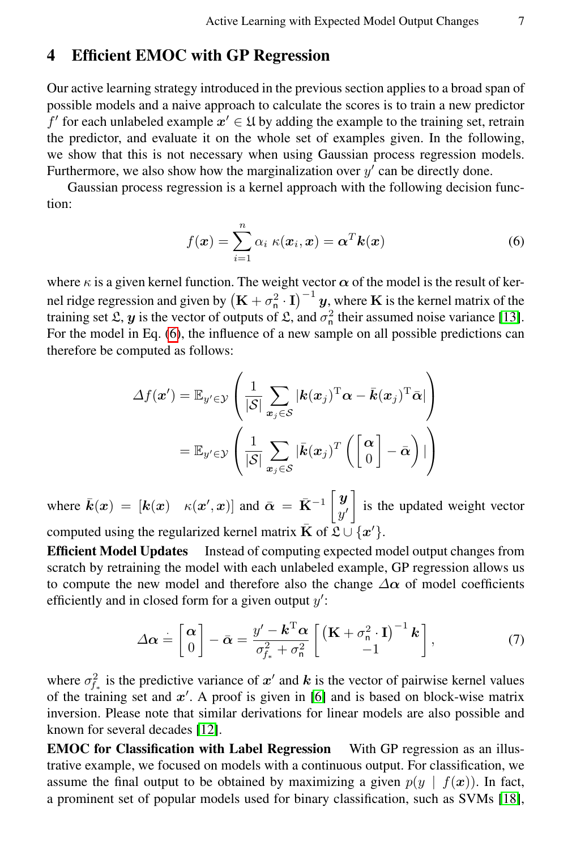## <span id="page-6-0"></span>4 Efficient EMOC with GP Regression

Our active learning strategy introduced in the previous section applies to a broad span of possible models and a naive approach to calculate the scores is to train a new predictor  $f'$  for each unlabeled example  $x' \in \mathfrak{U}$  by adding the example to the training set, retrain the predictor, and evaluate it on the whole set of examples given. In the following, we show that this is not necessary when using Gaussian process regression models. Furthermore, we also show how the marginalization over  $y'$  can be directly done.

Gaussian process regression is a kernel approach with the following decision function:

<span id="page-6-1"></span>
$$
f(\boldsymbol{x}) = \sum_{i=1}^{n} \alpha_i \kappa(\boldsymbol{x}_i, \boldsymbol{x}) = \boldsymbol{\alpha}^T \boldsymbol{k}(\boldsymbol{x})
$$
 (6)

where  $\kappa$  is a given kernel function. The weight vector  $\alpha$  of the model is the result of kernel ridge regression and given by  $(K + \sigma_n^2 \cdot I)^{-1} y$ , where K is the kernel matrix of the training set  $\mathfrak{L}, \mathbf{y}$  is the vector of outputs of  $\mathfrak{L}$ , and  $\sigma_n^2$  their assumed noise variance [\[13\]](#page-14-10). For the model in Eq. [\(6\)](#page-6-1), the influence of a new sample on all possible predictions can therefore be computed as follows:

$$
\Delta f(\boldsymbol{x}') = \mathbb{E}_{y' \in \mathcal{Y}} \left( \frac{1}{|\mathcal{S}|} \sum_{\boldsymbol{x}_j \in \mathcal{S}} |\boldsymbol{k}(\boldsymbol{x}_j)^{\mathrm{T}} \boldsymbol{\alpha} - \bar{\boldsymbol{k}}(\boldsymbol{x}_j)^{\mathrm{T}} \bar{\boldsymbol{\alpha}}| \right)
$$

$$
= \mathbb{E}_{y' \in \mathcal{Y}} \left( \frac{1}{|\mathcal{S}|} \sum_{\boldsymbol{x}_j \in \mathcal{S}} |\bar{\boldsymbol{k}}(\boldsymbol{x}_j)^{\mathrm{T}} \left( \begin{bmatrix} \boldsymbol{\alpha} \\ 0 \end{bmatrix} - \bar{\boldsymbol{\alpha}} \right) | \right)
$$

where  $\bar{k}(x) = [k(x) \quad \kappa(x',x)]$  and  $\bar{\alpha} = \bar{K}^{-1} \begin{bmatrix} y \\ y' \end{bmatrix}$  $y'$ is the updated weight vector computed using the regularized kernel matrix  $\bar{\mathbf{K}}$  of  $\mathcal{L} \cup \{\mathbf{x}'\}.$ 

Efficient Model Updates Instead of computing expected model output changes from scratch by retraining the model with each unlabeled example, GP regression allows us to compute the new model and therefore also the change  $\Delta \alpha$  of model coefficients efficiently and in closed form for a given output  $y'$ :

<span id="page-6-2"></span>
$$
\Delta \alpha = \begin{bmatrix} \alpha \\ 0 \end{bmatrix} - \bar{\alpha} = \frac{y' - \mathbf{k}^{\mathrm{T}} \alpha}{\sigma_{f_*}^2 + \sigma_n^2} \begin{bmatrix} (\mathbf{K} + \sigma_n^2 \cdot \mathbf{I})^{-1} \mathbf{k} \\ -1 \end{bmatrix},
$$
(7)

where  $\sigma_{f_*}^2$  is the predictive variance of  $x'$  and  $k$  is the vector of pairwise kernel values of the training set and  $x'$ . A proof is given in [\[6\]](#page-14-9) and is based on block-wise matrix inversion. Please note that similar derivations for linear models are also possible and known for several decades [\[12\]](#page-14-11).

EMOC for Classification with Label Regression With GP regression as an illustrative example, we focused on models with a continuous output. For classification, we assume the final output to be obtained by maximizing a given  $p(y \mid f(x))$ . In fact, a prominent set of popular models used for binary classification, such as SVMs [\[18\]](#page-14-12),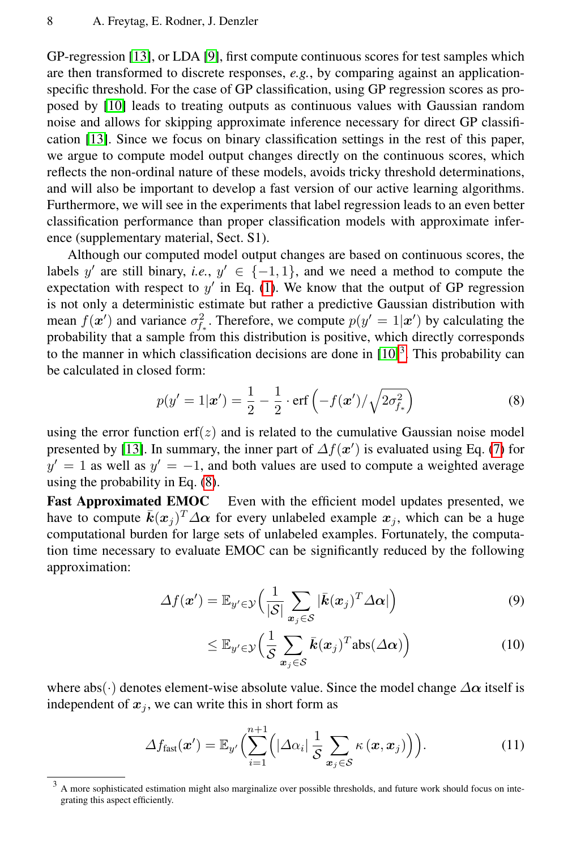GP-regression [\[13\]](#page-14-10), or LDA [\[9\]](#page-14-13), first compute continuous scores for test samples which are then transformed to discrete responses, *e.g.*, by comparing against an applicationspecific threshold. For the case of GP classification, using GP regression scores as proposed by [\[10\]](#page-14-6) leads to treating outputs as continuous values with Gaussian random noise and allows for skipping approximate inference necessary for direct GP classification [\[13\]](#page-14-10). Since we focus on binary classification settings in the rest of this paper, we argue to compute model output changes directly on the continuous scores, which reflects the non-ordinal nature of these models, avoids tricky threshold determinations, and will also be important to develop a fast version of our active learning algorithms. Furthermore, we will see in the experiments that label regression leads to an even better classification performance than proper classification models with approximate inference (supplementary material, Sect. S1).

Although our computed model output changes are based on continuous scores, the labels y' are still binary, *i.e.*,  $y' \in \{-1, 1\}$ , and we need a method to compute the expectation with respect to  $y'$  in Eq. [\(1\)](#page-4-2). We know that the output of GP regression is not only a deterministic estimate but rather a predictive Gaussian distribution with mean  $f(x')$  and variance  $\sigma_{f_*}^2$ . Therefore, we compute  $p(y' = 1 | x')$  by calculating the probability that a sample from this distribution is positive, which directly corresponds to the manner in which classification decisions are done in  $[10]<sup>3</sup>$  $[10]<sup>3</sup>$  $[10]<sup>3</sup>$  $[10]<sup>3</sup>$ . This probability can be calculated in closed form:

<span id="page-7-1"></span>
$$
p(y'=1|\mathbf{x}') = \frac{1}{2} - \frac{1}{2} \cdot \text{erf}\left(-\frac{f(\mathbf{x}')}{\sqrt{2\sigma_{f_*}^2}}\right)
$$
(8)

using the error function erf( $z$ ) and is related to the cumulative Gaussian noise model presented by [\[13\]](#page-14-10). In summary, the inner part of  $\Delta f(x')$  is evaluated using Eq. [\(7\)](#page-6-2) for  $y' = 1$  as well as  $y' = -1$ , and both values are used to compute a weighted average using the probability in Eq. [\(8\)](#page-7-1).

Fast Approximated EMOC Even with the efficient model updates presented, we have to compute  $\bar{k}(x_j)^T \Delta \alpha$  for every unlabeled example  $x_j$ , which can be a huge computational burden for large sets of unlabeled examples. Fortunately, the computation time necessary to evaluate EMOC can be significantly reduced by the following approximation:

$$
\Delta f(\boldsymbol{x}') = \mathbb{E}_{\boldsymbol{y}' \in \mathcal{Y}} \Big( \frac{1}{|\mathcal{S}|} \sum_{\boldsymbol{x}_j \in \mathcal{S}} |\bar{\boldsymbol{k}}(\boldsymbol{x}_j)^T \Delta \boldsymbol{\alpha}| \Big) \tag{9}
$$

$$
\leq \mathbb{E}_{y' \in \mathcal{Y}} \Big( \frac{1}{\mathcal{S}} \sum_{x_j \in \mathcal{S}} \bar{k}(x_j)^T \mathrm{abs}(\Delta \alpha) \Big) \tag{10}
$$

where abs( $\cdot$ ) denotes element-wise absolute value. Since the model change  $\Delta \alpha$  itself is independent of  $x_j$ , we can write this in short form as

$$
\Delta f_{\text{fast}}(\boldsymbol{x}') = \mathbb{E}_{\boldsymbol{y}'} \Biggl( \sum_{i=1}^{n+1} \Bigl( |\Delta \alpha_i| \frac{1}{\mathcal{S}} \sum_{\boldsymbol{x}_j \in \mathcal{S}} \kappa(\boldsymbol{x}, \boldsymbol{x}_j) \Bigr) \Biggr). \tag{11}
$$

<span id="page-7-0"></span> $3 \text{ A}$  more sophisticated estimation might also marginalize over possible thresholds, and future work should focus on integrating this aspect efficiently.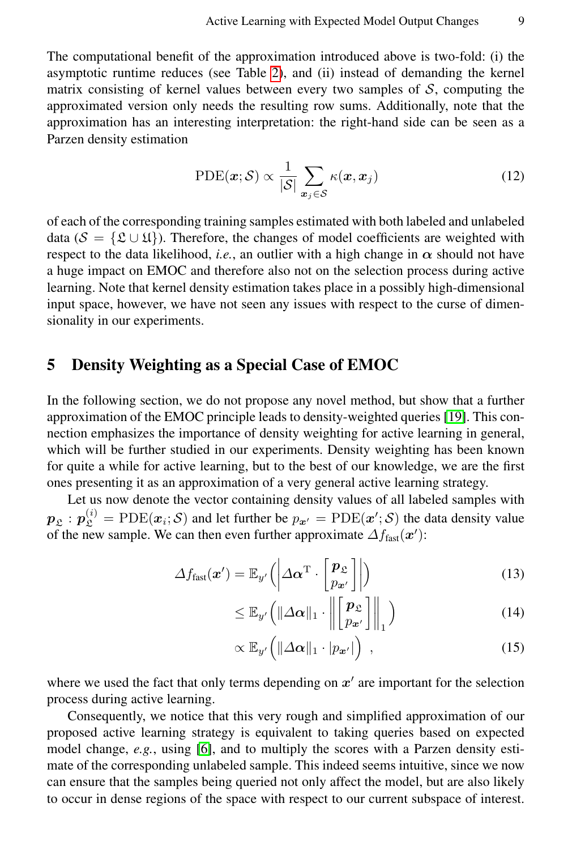The computational benefit of the approximation introduced above is two-fold: (i) the asymptotic runtime reduces (see Table [2\)](#page-12-0), and (ii) instead of demanding the kernel matrix consisting of kernel values between every two samples of  $S$ , computing the approximated version only needs the resulting row sums. Additionally, note that the approximation has an interesting interpretation: the right-hand side can be seen as a Parzen density estimation

<span id="page-8-1"></span>
$$
PDE(\boldsymbol{x}; \mathcal{S}) \propto \frac{1}{|\mathcal{S}|} \sum_{\boldsymbol{x}_j \in \mathcal{S}} \kappa(\boldsymbol{x}, \boldsymbol{x}_j)
$$
(12)

of each of the corresponding training samples estimated with both labeled and unlabeled data ( $S = \{ \mathfrak{L} \cup \mathfrak{U} \}$ ). Therefore, the changes of model coefficients are weighted with respect to the data likelihood, *i.e.*, an outlier with a high change in  $\alpha$  should not have a huge impact on EMOC and therefore also not on the selection process during active learning. Note that kernel density estimation takes place in a possibly high-dimensional input space, however, we have not seen any issues with respect to the curse of dimensionality in our experiments.

## <span id="page-8-0"></span>5 Density Weighting as a Special Case of EMOC

In the following section, we do not propose any novel method, but show that a further approximation of the EMOC principle leads to density-weighted queries [\[19\]](#page-15-2). This connection emphasizes the importance of density weighting for active learning in general, which will be further studied in our experiments. Density weighting has been known for quite a while for active learning, but to the best of our knowledge, we are the first ones presenting it as an approximation of a very general active learning strategy.

Let us now denote the vector containing density values of all labeled samples with  $p_{\mathcal{L}} : p_{\mathcal{L}}^{(i)} = \text{PDE}(\mathbf{x}_i; \mathcal{S})$  and let further be  $p_{\mathbf{x}'} = \text{PDE}(\mathbf{x}'; \mathcal{S})$  the data density value of the new sample. We can then even further approximate  $\Delta f_{\text{fast}}({\bm{x}}')$ :

$$
\Delta f_{\text{fast}}(\boldsymbol{x}') = \mathbb{E}_{y'}\left( \left| \Delta \boldsymbol{\alpha}^{\mathrm{T}} \cdot \begin{bmatrix} \boldsymbol{p}_{\mathfrak{L}} \\ p_{\boldsymbol{x}'} \end{bmatrix} \right| \right) \tag{13}
$$

<span id="page-8-2"></span>
$$
\leq \mathbb{E}_{y'}\left(\left\|\Delta\alpha\right\|_{1}\cdot\left\|\left[\frac{p_{\mathfrak{L}}}{p_{x'}}\right]\right\|_{1}\right) \tag{14}
$$

<span id="page-8-3"></span>
$$
\propto \mathbb{E}_{y'}\Big(||\Delta\alpha||_1 \cdot |p_{x'}|\Big) , \qquad (15)
$$

where we used the fact that only terms depending on  $x'$  are important for the selection process during active learning.

Consequently, we notice that this very rough and simplified approximation of our proposed active learning strategy is equivalent to taking queries based on expected model change, *e.g.*, using [\[6\]](#page-14-9), and to multiply the scores with a Parzen density estimate of the corresponding unlabeled sample. This indeed seems intuitive, since we now can ensure that the samples being queried not only affect the model, but are also likely to occur in dense regions of the space with respect to our current subspace of interest.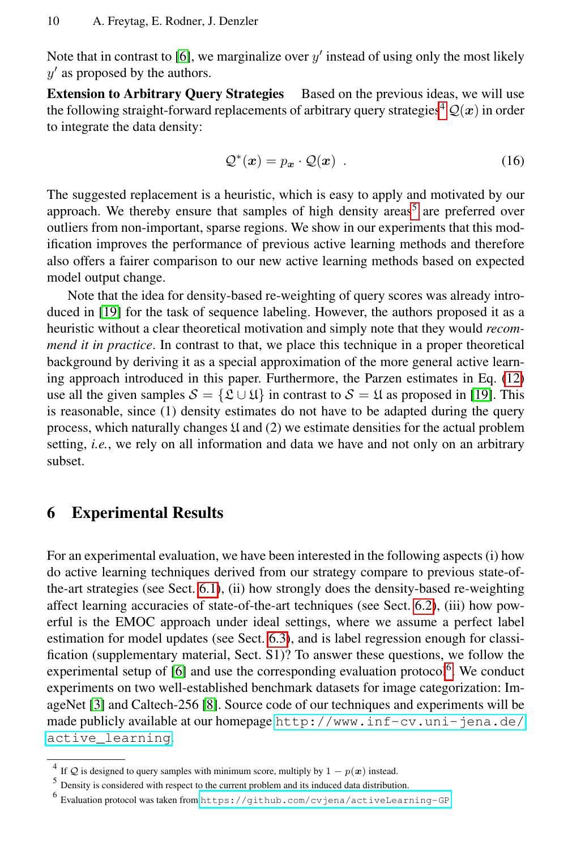Note that in contrast to [\[6\]](#page-14-9), we marginalize over  $y'$  instead of using only the most likely  $y'$  as proposed by the authors.

Extension to Arbitrary Query Strategies Based on the previous ideas, we will use the following straight-forward replacements of arbitrary query strategies<sup>[4](#page-9-1)</sup>  $\mathcal{Q}(x)$  in order to integrate the data density:

$$
\mathcal{Q}^*(\mathbf{x}) = p_{\mathbf{x}} \cdot \mathcal{Q}(\mathbf{x}) \tag{16}
$$

The suggested replacement is a heuristic, which is easy to apply and motivated by our approach. We thereby ensure that samples of high density areas<sup>[5](#page-9-2)</sup> are preferred over outliers from non-important, sparse regions. We show in our experiments that this modification improves the performance of previous active learning methods and therefore also offers a fairer comparison to our new active learning methods based on expected model output change.

Note that the idea for density-based re-weighting of query scores was already introduced in [\[19\]](#page-15-2) for the task of sequence labeling. However, the authors proposed it as a heuristic without a clear theoretical motivation and simply note that they would *recommend it in practice*. In contrast to that, we place this technique in a proper theoretical background by deriving it as a special approximation of the more general active learning approach introduced in this paper. Furthermore, the Parzen estimates in Eq. [\(12\)](#page-8-1) use all the given samples  $S = \{ \mathfrak{L} \cup \mathfrak{U} \}$  in contrast to  $S = \mathfrak{U}$  as proposed in [\[19\]](#page-15-2). This is reasonable, since (1) density estimates do not have to be adapted during the query process, which naturally changes  $\mathfrak U$  and (2) we estimate densities for the actual problem setting, *i.e.*, we rely on all information and data we have and not only on an arbitrary subset.

## <span id="page-9-0"></span>6 Experimental Results

For an experimental evaluation, we have been interested in the following aspects (i) how do active learning techniques derived from our strategy compare to previous state-ofthe-art strategies (see Sect. [6.1\)](#page-10-0), (ii) how strongly does the density-based re-weighting affect learning accuracies of state-of-the-art techniques (see Sect. [6.2\)](#page-12-1), (iii) how powerful is the EMOC approach under ideal settings, where we assume a perfect label estimation for model updates (see Sect. [6.3\)](#page-12-2), and is label regression enough for classification (supplementary material, Sect. S1)? To answer these questions, we follow the experimental setup of [\[6\]](#page-14-9) and use the corresponding evaluation protocol<sup>[6](#page-9-3)</sup>. We conduct experiments on two well-established benchmark datasets for image categorization: ImageNet [\[3\]](#page-14-14) and Caltech-256 [\[8\]](#page-14-15). Source code of our techniques and experiments will be made publicly available at our homepage [http://www.inf-cv.uni-jena.de/](http://www.inf-cv.uni-jena.de/active_learning) [active\\_learning](http://www.inf-cv.uni-jena.de/active_learning).

<span id="page-9-1"></span><sup>&</sup>lt;sup>4</sup> If  $Q$  is designed to query samples with minimum score, multiply by  $1 - p(x)$  instead.

<span id="page-9-2"></span><sup>5</sup> Density is considered with respect to the current problem and its induced data distribution.

<span id="page-9-3"></span><sup>6</sup> Evaluation protocol was taken from <https://github.com/cvjena/activeLearning-GP>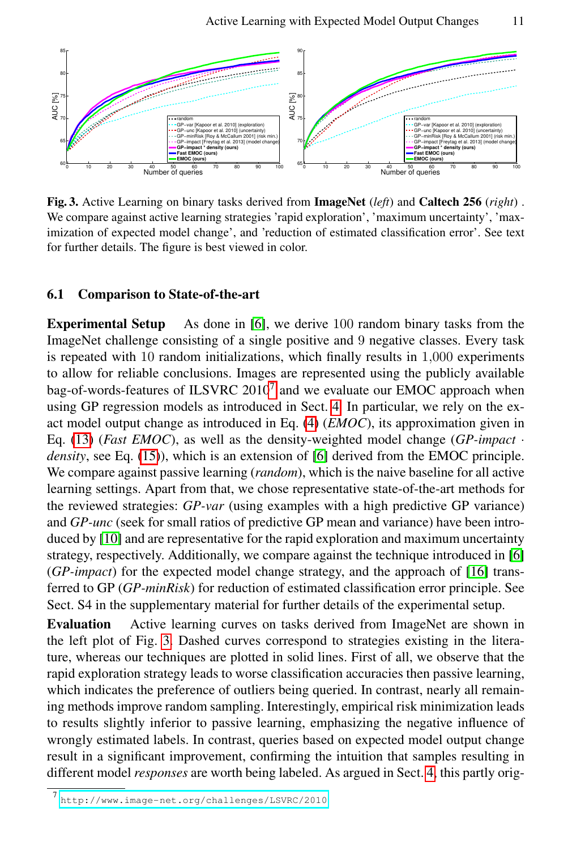

<span id="page-10-2"></span>Fig. 3. Active Learning on binary tasks derived from ImageNet (*left*) and Caltech 256 (*right*) . We compare against active learning strategies 'rapid exploration', 'maximum uncertainty', 'maximization of expected model change', and 'reduction of estimated classification error'. See text for further details. The figure is best viewed in color.

#### <span id="page-10-0"></span>6.1 Comparison to State-of-the-art

Experimental Setup As done in [\[6\]](#page-14-9), we derive 100 random binary tasks from the ImageNet challenge consisting of a single positive and 9 negative classes. Every task is repeated with 10 random initializations, which finally results in 1,000 experiments to allow for reliable conclusions. Images are represented using the publicly available bag-of-words-features of  $ILSVRC 2010<sup>7</sup>$  $ILSVRC 2010<sup>7</sup>$  $ILSVRC 2010<sup>7</sup>$  and we evaluate our EMOC approach when using GP regression models as introduced in Sect. [4.](#page-6-0) In particular, we rely on the exact model output change as introduced in Eq. [\(4\)](#page-5-1) (*EMOC*), its approximation given in Eq. [\(13\)](#page-8-2) (*Fast EMOC*), as well as the density-weighted model change (*GP-impact* · *density*, see Eq. [\(15\)](#page-8-3)), which is an extension of [\[6\]](#page-14-9) derived from the EMOC principle. We compare against passive learning (*random*), which is the naive baseline for all active learning settings. Apart from that, we chose representative state-of-the-art methods for the reviewed strategies: *GP-var* (using examples with a high predictive GP variance) and *GP-unc* (seek for small ratios of predictive GP mean and variance) have been introduced by [\[10\]](#page-14-6) and are representative for the rapid exploration and maximum uncertainty strategy, respectively. Additionally, we compare against the technique introduced in [\[6\]](#page-14-9) (*GP-impact*) for the expected model change strategy, and the approach of [\[16\]](#page-14-4) transferred to GP (*GP-minRisk*) for reduction of estimated classification error principle. See Sect. S4 in the supplementary material for further details of the experimental setup.

Evaluation Active learning curves on tasks derived from ImageNet are shown in the left plot of Fig. [3.](#page-10-2) Dashed curves correspond to strategies existing in the literature, whereas our techniques are plotted in solid lines. First of all, we observe that the rapid exploration strategy leads to worse classification accuracies then passive learning, which indicates the preference of outliers being queried. In contrast, nearly all remaining methods improve random sampling. Interestingly, empirical risk minimization leads to results slightly inferior to passive learning, emphasizing the negative influence of wrongly estimated labels. In contrast, queries based on expected model output change result in a significant improvement, confirming the intuition that samples resulting in different model *responses* are worth being labeled. As argued in Sect. [4,](#page-6-0) this partly orig-

<span id="page-10-1"></span><sup>7</sup> <http://www.image-net.org/challenges/LSVRC/2010>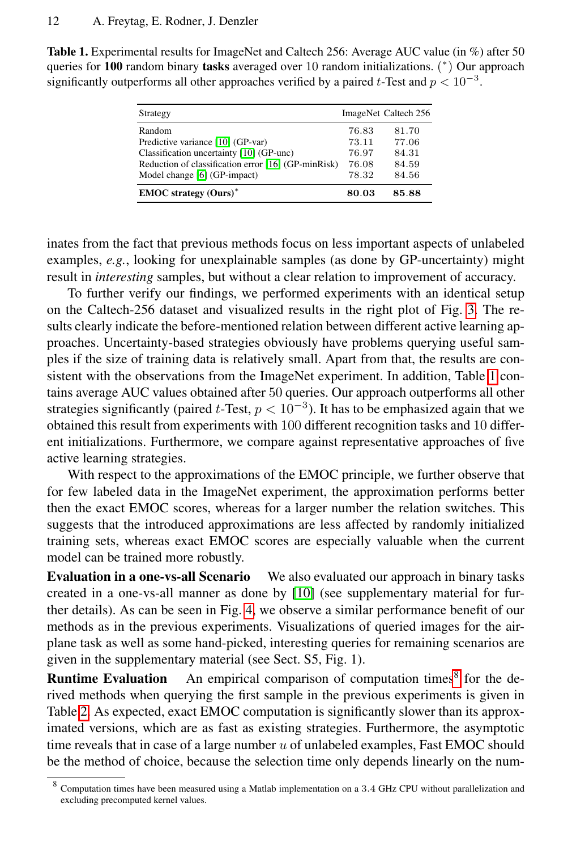<span id="page-11-0"></span>Table 1. Experimental results for ImageNet and Caltech 256: Average AUC value (in %) after 50 queries for 100 random binary tasks averaged over 10 random initializations. (\*) Our approach significantly outperforms all other approaches verified by a paired t-Test and  $p < 10^{-3}$ .

| Strategy                                            |       | ImageNet Caltech 256 |
|-----------------------------------------------------|-------|----------------------|
| Random                                              | 76.83 | 81.70                |
| Predictive variance [10] (GP-var)                   | 73.11 | 77.06                |
| Classification uncertainty [10] (GP-unc)            | 76.97 | 84.31                |
| Reduction of classification error [16] (GP-minRisk) | 76.08 | 84.59                |
| Model change [6] (GP-impact)                        | 78.32 | 84.56                |
| <b>EMOC</b> strategy (Ours) <sup>*</sup>            | 80.03 | 85.88                |

inates from the fact that previous methods focus on less important aspects of unlabeled examples, *e.g.*, looking for unexplainable samples (as done by GP-uncertainty) might result in *interesting* samples, but without a clear relation to improvement of accuracy.

To further verify our findings, we performed experiments with an identical setup on the Caltech-256 dataset and visualized results in the right plot of Fig. [3.](#page-10-2) The results clearly indicate the before-mentioned relation between different active learning approaches. Uncertainty-based strategies obviously have problems querying useful samples if the size of training data is relatively small. Apart from that, the results are consistent with the observations from the ImageNet experiment. In addition, Table [1](#page-11-0) contains average AUC values obtained after 50 queries. Our approach outperforms all other strategies significantly (paired t-Test,  $p < 10^{-3}$ ). It has to be emphasized again that we obtained this result from experiments with 100 different recognition tasks and 10 different initializations. Furthermore, we compare against representative approaches of five active learning strategies.

With respect to the approximations of the EMOC principle, we further observe that for few labeled data in the ImageNet experiment, the approximation performs better then the exact EMOC scores, whereas for a larger number the relation switches. This suggests that the introduced approximations are less affected by randomly initialized training sets, whereas exact EMOC scores are especially valuable when the current model can be trained more robustly.

Evaluation in a one-vs-all Scenario We also evaluated our approach in binary tasks created in a one-vs-all manner as done by [\[10\]](#page-14-6) (see supplementary material for further details). As can be seen in Fig. [4,](#page-12-3) we observe a similar performance benefit of our methods as in the previous experiments. Visualizations of queried images for the airplane task as well as some hand-picked, interesting queries for remaining scenarios are given in the supplementary material (see Sect. S5, Fig. 1).

Runtime Evaluation An empirical comparison of computation times<sup>[8](#page-11-1)</sup> for the derived methods when querying the first sample in the previous experiments is given in Table [2.](#page-12-0) As expected, exact EMOC computation is significantly slower than its approximated versions, which are as fast as existing strategies. Furthermore, the asymptotic time reveals that in case of a large number  $u$  of unlabeled examples, Fast EMOC should be the method of choice, because the selection time only depends linearly on the num-

<span id="page-11-1"></span><sup>8</sup> Computation times have been measured using a Matlab implementation on a 3.4 GHz CPU without parallelization and excluding precomputed kernel values.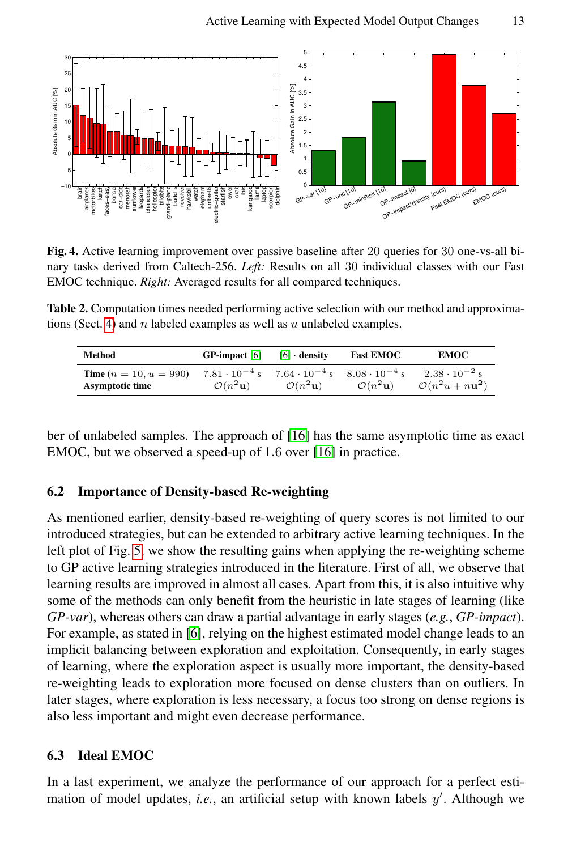

<span id="page-12-3"></span>Fig. 4. Active learning improvement over passive baseline after 20 queries for 30 one-vs-all binary tasks derived from Caltech-256. *Left:* Results on all 30 individual classes with our Fast EMOC technique. *Right:* Averaged results for all compared techniques.

<span id="page-12-0"></span>Table 2. Computation times needed performing active selection with our method and approxima-tions (Sect. [4\)](#page-6-0) and  $n$  labeled examples as well as  $u$  unlabeled examples.

| Method                          | <b>GP-impact</b> [6]         | $[6] \cdot density$          | <b>Fast EMOC</b>             | <b>EMOC</b>                         |
|---------------------------------|------------------------------|------------------------------|------------------------------|-------------------------------------|
| <b>Time</b> $(n = 10, u = 990)$ | $7.81 \cdot 10^{-4}$ s       | $7.64 \cdot 10^{-4}$ s       | $8.08 \cdot 10^{-4}$ s       | $2.38 \cdot 10^{-2}$ s              |
| <b>Asymptotic time</b>          | $\mathcal{O}(n^2\mathbf{u})$ | $\mathcal{O}(n^2\mathbf{u})$ | $\mathcal{O}(n^2\mathbf{u})$ | $\mathcal{O}(n^2u + n\mathbf{u}^2)$ |

ber of unlabeled samples. The approach of [\[16\]](#page-14-4) has the same asymptotic time as exact EMOC, but we observed a speed-up of 1.6 over [\[16\]](#page-14-4) in practice.

#### <span id="page-12-1"></span>6.2 Importance of Density-based Re-weighting

As mentioned earlier, density-based re-weighting of query scores is not limited to our introduced strategies, but can be extended to arbitrary active learning techniques. In the left plot of Fig. [5,](#page-13-0) we show the resulting gains when applying the re-weighting scheme to GP active learning strategies introduced in the literature. First of all, we observe that learning results are improved in almost all cases. Apart from this, it is also intuitive why some of the methods can only benefit from the heuristic in late stages of learning (like *GP-var*), whereas others can draw a partial advantage in early stages (*e.g.*, *GP-impact*). For example, as stated in [\[6\]](#page-14-9), relying on the highest estimated model change leads to an implicit balancing between exploration and exploitation. Consequently, in early stages of learning, where the exploration aspect is usually more important, the density-based re-weighting leads to exploration more focused on dense clusters than on outliers. In later stages, where exploration is less necessary, a focus too strong on dense regions is also less important and might even decrease performance.

#### <span id="page-12-2"></span>6.3 Ideal EMOC

In a last experiment, we analyze the performance of our approach for a perfect estimation of model updates, *i.e.*, an artificial setup with known labels  $y'$ . Although we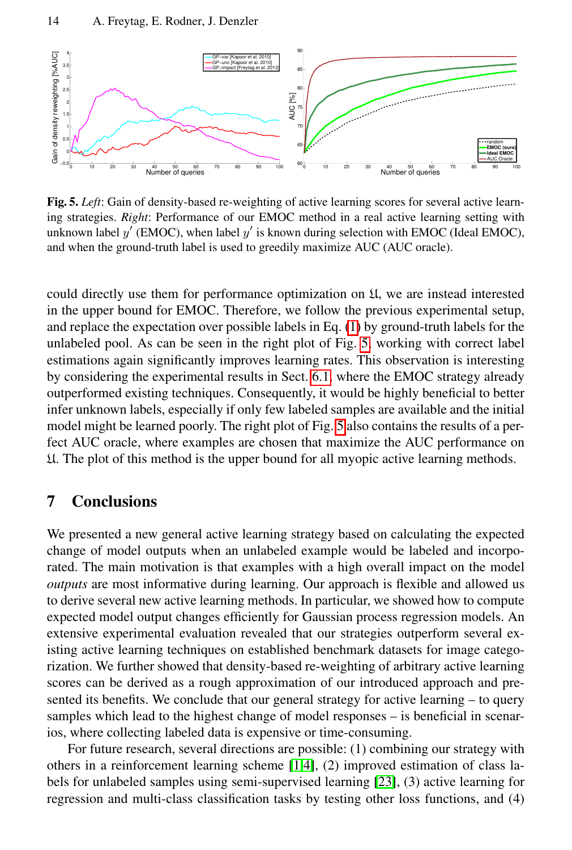

<span id="page-13-0"></span>Fig. 5. *Left*: Gain of density-based re-weighting of active learning scores for several active learning strategies. *Right*: Performance of our EMOC method in a real active learning setting with unknown label  $y'$  (EMOC), when label  $y'$  is known during selection with EMOC (Ideal EMOC), and when the ground-truth label is used to greedily maximize AUC (AUC oracle).

could directly use them for performance optimization on  $\mathfrak{U}$ , we are instead interested in the upper bound for EMOC. Therefore, we follow the previous experimental setup, and replace the expectation over possible labels in Eq. [\(1\)](#page-4-2) by ground-truth labels for the unlabeled pool. As can be seen in the right plot of Fig. [5,](#page-13-0) working with correct label estimations again significantly improves learning rates. This observation is interesting by considering the experimental results in Sect. [6.1,](#page-10-0) where the EMOC strategy already outperformed existing techniques. Consequently, it would be highly beneficial to better infer unknown labels, especially if only few labeled samples are available and the initial model might be learned poorly. The right plot of Fig. [5](#page-13-0) also contains the results of a perfect AUC oracle, where examples are chosen that maximize the AUC performance on U. The plot of this method is the upper bound for all myopic active learning methods.

### 7 Conclusions

We presented a new general active learning strategy based on calculating the expected change of model outputs when an unlabeled example would be labeled and incorporated. The main motivation is that examples with a high overall impact on the model *outputs* are most informative during learning. Our approach is flexible and allowed us to derive several new active learning methods. In particular, we showed how to compute expected model output changes efficiently for Gaussian process regression models. An extensive experimental evaluation revealed that our strategies outperform several existing active learning techniques on established benchmark datasets for image categorization. We further showed that density-based re-weighting of arbitrary active learning scores can be derived as a rough approximation of our introduced approach and presented its benefits. We conclude that our general strategy for active learning – to query samples which lead to the highest change of model responses – is beneficial in scenarios, where collecting labeled data is expensive or time-consuming.

For future research, several directions are possible: (1) combining our strategy with others in a reinforcement learning scheme [\[1](#page-14-5)[,4\]](#page-14-8), (2) improved estimation of class labels for unlabeled samples using semi-supervised learning [\[23\]](#page-15-4), (3) active learning for regression and multi-class classification tasks by testing other loss functions, and (4)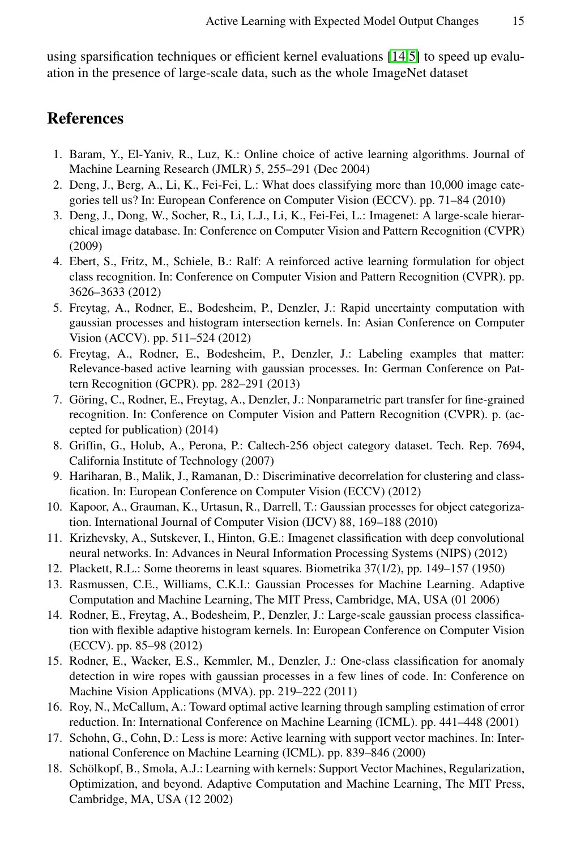using sparsification techniques or efficient kernel evaluations [\[14,](#page-14-16)[5\]](#page-14-17) to speed up evaluation in the presence of large-scale data, such as the whole ImageNet dataset

## References

- <span id="page-14-5"></span>1. Baram, Y., El-Yaniv, R., Luz, K.: Online choice of active learning algorithms. Journal of Machine Learning Research (JMLR) 5, 255–291 (Dec 2004)
- <span id="page-14-0"></span>2. Deng, J., Berg, A., Li, K., Fei-Fei, L.: What does classifying more than 10,000 image categories tell us? In: European Conference on Computer Vision (ECCV). pp. 71–84 (2010)
- <span id="page-14-14"></span>3. Deng, J., Dong, W., Socher, R., Li, L.J., Li, K., Fei-Fei, L.: Imagenet: A large-scale hierarchical image database. In: Conference on Computer Vision and Pattern Recognition (CVPR) (2009)
- <span id="page-14-8"></span>4. Ebert, S., Fritz, M., Schiele, B.: Ralf: A reinforced active learning formulation for object class recognition. In: Conference on Computer Vision and Pattern Recognition (CVPR). pp. 3626–3633 (2012)
- <span id="page-14-17"></span>5. Freytag, A., Rodner, E., Bodesheim, P., Denzler, J.: Rapid uncertainty computation with gaussian processes and histogram intersection kernels. In: Asian Conference on Computer Vision (ACCV). pp. 511–524 (2012)
- <span id="page-14-9"></span>6. Freytag, A., Rodner, E., Bodesheim, P., Denzler, J.: Labeling examples that matter: Relevance-based active learning with gaussian processes. In: German Conference on Pattern Recognition (GCPR). pp. 282–291 (2013)
- <span id="page-14-3"></span>7. Göring, C., Rodner, E., Freytag, A., Denzler, J.: Nonparametric part transfer for fine-grained recognition. In: Conference on Computer Vision and Pattern Recognition (CVPR). p. (accepted for publication) (2014)
- <span id="page-14-15"></span>8. Griffin, G., Holub, A., Perona, P.: Caltech-256 object category dataset. Tech. Rep. 7694, California Institute of Technology (2007)
- <span id="page-14-13"></span>9. Hariharan, B., Malik, J., Ramanan, D.: Discriminative decorrelation for clustering and classfication. In: European Conference on Computer Vision (ECCV) (2012)
- <span id="page-14-6"></span>10. Kapoor, A., Grauman, K., Urtasun, R., Darrell, T.: Gaussian processes for object categorization. International Journal of Computer Vision (IJCV) 88, 169–188 (2010)
- <span id="page-14-1"></span>11. Krizhevsky, A., Sutskever, I., Hinton, G.E.: Imagenet classification with deep convolutional neural networks. In: Advances in Neural Information Processing Systems (NIPS) (2012)
- <span id="page-14-11"></span>12. Plackett, R.L.: Some theorems in least squares. Biometrika 37(1/2), pp. 149–157 (1950)
- <span id="page-14-10"></span>13. Rasmussen, C.E., Williams, C.K.I.: Gaussian Processes for Machine Learning. Adaptive Computation and Machine Learning, The MIT Press, Cambridge, MA, USA (01 2006)
- <span id="page-14-16"></span>14. Rodner, E., Freytag, A., Bodesheim, P., Denzler, J.: Large-scale gaussian process classification with flexible adaptive histogram kernels. In: European Conference on Computer Vision (ECCV). pp. 85–98 (2012)
- <span id="page-14-2"></span>15. Rodner, E., Wacker, E.S., Kemmler, M., Denzler, J.: One-class classification for anomaly detection in wire ropes with gaussian processes in a few lines of code. In: Conference on Machine Vision Applications (MVA). pp. 219–222 (2011)
- <span id="page-14-4"></span>16. Roy, N., McCallum, A.: Toward optimal active learning through sampling estimation of error reduction. In: International Conference on Machine Learning (ICML). pp. 441–448 (2001)
- <span id="page-14-7"></span>17. Schohn, G., Cohn, D.: Less is more: Active learning with support vector machines. In: International Conference on Machine Learning (ICML). pp. 839–846 (2000)
- <span id="page-14-12"></span>18. Schölkopf, B., Smola, A.J.: Learning with kernels: Support Vector Machines, Regularization, Optimization, and beyond. Adaptive Computation and Machine Learning, The MIT Press, Cambridge, MA, USA (12 2002)